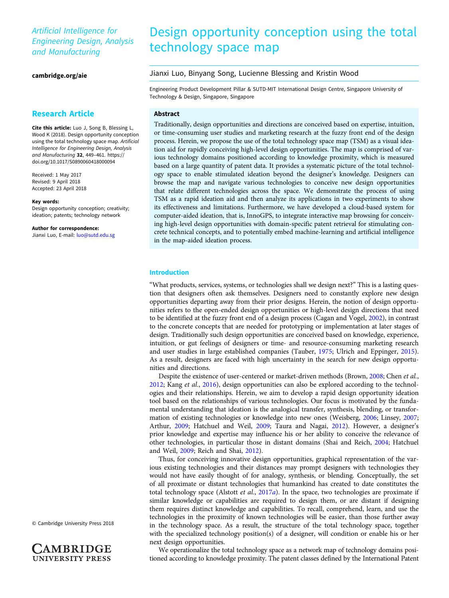# Artificial Intelligence for Engineering Design, Analysis and Manufacturing

[cambridge.org/aie](https://www.cambridge.org/aie)

# Research Article

Cite this article: Luo J, Song B, Blessing L, Wood K (2018). Design opportunity conception using the total technology space map. Artificial Intelligence for Engineering Design, Analysis and Manufacturing 32, 449–461. [https://](https://doi.org/10.1017/S0890060418000094) [doi.org/10.1017/S0890060418000094](https://doi.org/10.1017/S0890060418000094)

Received: 1 May 2017 Revised: 9 April 2018 Accepted: 23 April 2018

#### Key words:

Design opportunity conception; creativity; ideation; patents; technology network

Author for correspondence: Jianxi Luo, E-mail: [luo@sutd.edu.sg](mailto:luo@sutd.edu.sg)

# Design opportunity conception using the total technology space map

# Jianxi Luo, Binyang Song, Lucienne Blessing and Kristin Wood

Engineering Product Development Pillar & SUTD-MIT International Design Centre, Singapore University of Technology & Design, Singapore, Singapore

# Abstract

Traditionally, design opportunities and directions are conceived based on expertise, intuition, or time-consuming user studies and marketing research at the fuzzy front end of the design process. Herein, we propose the use of the total technology space map (TSM) as a visual ideation aid for rapidly conceiving high-level design opportunities. The map is comprised of various technology domains positioned according to knowledge proximity, which is measured based on a large quantity of patent data. It provides a systematic picture of the total technology space to enable stimulated ideation beyond the designer's knowledge. Designers can browse the map and navigate various technologies to conceive new design opportunities that relate different technologies across the space. We demonstrate the process of using TSM as a rapid ideation aid and then analyze its applications in two experiments to show its effectiveness and limitations. Furthermore, we have developed a cloud-based system for computer-aided ideation, that is, InnoGPS, to integrate interactive map browsing for conceiving high-level design opportunities with domain-specific patent retrieval for stimulating concrete technical concepts, and to potentially embed machine-learning and artificial intelligence in the map-aided ideation process.

# Introduction

"What products, services, systems, or technologies shall we design next?" This is a lasting question that designers often ask themselves. Designers need to constantly explore new design opportunities departing away from their prior designs. Herein, the notion of design opportunities refers to the open-ended design opportunities or high-level design directions that need to be identified at the fuzzy front end of a design process (Cagan and Vogel, [2002](#page-11-0)), in contrast to the concrete concepts that are needed for prototyping or implementation at later stages of design. Traditionally such design opportunities are conceived based on knowledge, experience, intuition, or gut feelings of designers or time- and resource-consuming marketing research and user studies in large established companies (Tauber, [1975;](#page-11-0) Ulrich and Eppinger, [2015](#page-11-0)). As a result, designers are faced with high uncertainty in the search for new design opportunities and directions.

Despite the existence of user-centered or market-driven methods (Brown, [2008](#page-11-0); Chen et al.,  $2012$ ; Kang *et al.*,  $2016$ ), design opportunities can also be explored according to the technologies and their relationships. Herein, we aim to develop a rapid design opportunity ideation tool based on the relationships of various technologies. Our focus is motivated by the fundamental understanding that ideation is the analogical transfer, synthesis, blending, or transformation of existing technologies or knowledge into new ones (Weisberg, [2006;](#page-11-0) Linsey, [2007](#page-11-0); Arthur, [2009;](#page-11-0) Hatchuel and Weil, [2009](#page-11-0); Taura and Nagai, [2012\)](#page-11-0). However, a designer's prior knowledge and expertise may influence his or her ability to conceive the relevance of other technologies, in particular those in distant domains (Shai and Reich, [2004](#page-11-0); Hatchuel and Weil, [2009](#page-11-0); Reich and Shai, [2012\)](#page-11-0).

Thus, for conceiving innovative design opportunities, graphical representation of the various existing technologies and their distances may prompt designers with technologies they would not have easily thought of for analogy, synthesis, or blending. Conceptually, the set of all proximate or distant technologies that humankind has created to date constitutes the total technology space (Alstott *et al.*,  $2017a$  $2017a$ ). In the space, two technologies are proximate if similar knowledge or capabilities are required to design them, or are distant if designing them requires distinct knowledge and capabilities. To recall, comprehend, learn, and use the technologies in the proximity of known technologies will be easier, than those further away in the technology space. As a result, the structure of the total technology space, together with the specialized technology position(s) of a designer, will condition or enable his or her next design opportunities.

We operationalize the total technology space as a network map of technology domains positioned according to knowledge proximity. The patent classes defined by the International Patent

© Cambridge University Press 2018

**AMBRIDGE UNIVERSITY PRESS**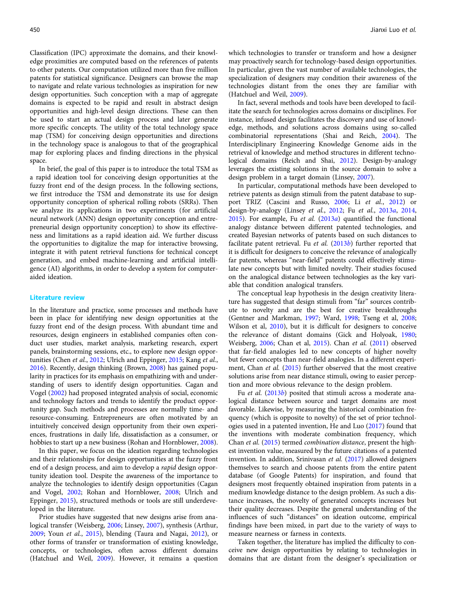Classification (IPC) approximate the domains, and their knowledge proximities are computed based on the references of patents to other patents. Our computation utilized more than five million patents for statistical significance. Designers can browse the map to navigate and relate various technologies as inspiration for new design opportunities. Such conception with a map of aggregate domains is expected to be rapid and result in abstract design opportunities and high-level design directions. These can then be used to start an actual design process and later generate more specific concepts. The utility of the total technology space map (TSM) for conceiving design opportunities and directions in the technology space is analogous to that of the geographical map for exploring places and finding directions in the physical space.

In brief, the goal of this paper is to introduce the total TSM as a rapid ideation tool for conceiving design opportunities at the fuzzy front end of the design process. In the following sections, we first introduce the TSM and demonstrate its use for design opportunity conception of spherical rolling robots (SRRs). Then we analyze its applications in two experiments (for artificial neural network (ANN) design opportunity conception and entrepreneurial design opportunity conception) to show its effectiveness and limitations as a rapid ideation aid. We further discuss the opportunities to digitalize the map for interactive browsing, integrate it with patent retrieval functions for technical concept generation, and embed machine-learning and artificial intelligence (AI) algorithms, in order to develop a system for computeraided ideation.

#### Literature review

In the literature and practice, some processes and methods have been in place for identifying new design opportunities at the fuzzy front end of the design process. With abundant time and resources, design engineers in established companies often conduct user studies, market analysis, marketing research, expert panels, brainstorming sessions, etc., to explore new design oppor-tunities (Chen et al., [2012;](#page-11-0) Ulrich and Eppinger, [2015;](#page-11-0) Kang et al., [2016\)](#page-11-0). Recently, design thinking (Brown, [2008](#page-11-0)) has gained popularity in practices for its emphasis on empathizing with and understanding of users to identify design opportunities. Cagan and Vogel [\(2002](#page-11-0)) had proposed integrated analysis of social, economic and technology factors and trends to identify the product opportunity gap. Such methods and processes are normally time- and resource-consuming. Entrepreneurs are often motivated by an intuitively conceived design opportunity from their own experiences, frustrations in daily life, dissatisfaction as a consumer, or hobbies to start up a new business (Rohan and Hornblower, [2008\)](#page-11-0).

In this paper, we focus on the ideation regarding technologies and their relationships for design opportunities at the fuzzy front end of a design process, and aim to develop a rapid design opportunity ideation tool. Despite the awareness of the importance to analyze the technologies to identify design opportunities (Cagan and Vogel, [2002](#page-11-0); Rohan and Hornblower, [2008](#page-11-0); Ulrich and Eppinger, [2015\)](#page-11-0), structured methods or tools are still underdeveloped in the literature.

Prior studies have suggested that new designs arise from analogical transfer (Weisberg, [2006](#page-11-0); Linsey, [2007](#page-11-0)), synthesis (Arthur, [2009;](#page-11-0) Youn et al., [2015\)](#page-11-0), blending (Taura and Nagai, [2012\)](#page-11-0), or other forms of transfer or transformation of existing knowledge, concepts, or technologies, often across different domains (Hatchuel and Weil, [2009](#page-11-0)). However, it remains a question

which technologies to transfer or transform and how a designer may proactively search for technology-based design opportunities. In particular, given the vast number of available technologies, the specialization of designers may condition their awareness of the technologies distant from the ones they are familiar with (Hatchuel and Weil, [2009\)](#page-11-0).

In fact, several methods and tools have been developed to facilitate the search for technologies across domains or disciplines. For instance, infused design facilitates the discovery and use of knowledge, methods, and solutions across domains using so-called combinatorial representations (Shai and Reich, [2004](#page-11-0)). The Interdisciplinary Engineering Knowledge Genome aids in the retrieval of knowledge and method structures in different technological domains (Reich and Shai, [2012](#page-11-0)). Design-by-analogy leverages the existing solutions in the source domain to solve a design problem in a target domain (Linsey, [2007\)](#page-11-0).

In particular, computational methods have been developed to retrieve patents as design stimuli from the patent database to sup-port TRIZ (Cascini and Russo, [2006;](#page-11-0) Li et al., [2012\)](#page-11-0) or design-by-analogy (Linsey et al., [2012;](#page-11-0) Fu et al., [2013](#page-11-0)a, [2014,](#page-11-0) [2015\)](#page-11-0). For example, Fu et al. ([2013](#page-11-0)a) quantified the functional analogy distance between different patented technologies, and created Bayesian networks of patents based on such distances to facilitate patent retrieval. Fu et al. [\(2013](#page-11-0)b) further reported that it is difficult for designers to conceive the relevance of analogically far patents, whereas "near-field" patents could effectively stimulate new concepts but with limited novelty. Their studies focused on the analogical distance between technologies as the key variable that condition analogical transfers.

The conceptual leap hypothesis in the design creativity literature has suggested that design stimuli from "far" sources contribute to novelty and are the best for creative breakthroughs (Gentner and Markman, [1997;](#page-11-0) Ward, [1998](#page-11-0); Tseng et al, [2008;](#page-11-0) Wilson et al, [2010](#page-11-0)), but it is difficult for designers to conceive the relevance of distant domains (Gick and Holyoak, [1980;](#page-11-0) Weisberg, [2006;](#page-11-0) Chan et al, [2015](#page-11-0)). Chan et al. ([2011](#page-11-0)) observed that far-field analogies led to new concepts of higher novelty but fewer concepts than near-field analogies. In a different experiment, Chan et al. ([2015](#page-11-0)) further observed that the most creative solutions arise from near distance stimuli, owing to easier perception and more obvious relevance to the design problem.

Fu et al. ([2013](#page-11-0)b) posited that stimuli across a moderate analogical distance between source and target domains are most favorable. Likewise, by measuring the historical combination frequency (which is opposite to novelty) of the set of prior technologies used in a patented invention, He and Luo ([2017](#page-11-0)) found that the inventions with moderate combination frequency, which Chan et al. [\(2015\)](#page-11-0) termed combination distance, present the highest invention value, measured by the future citations of a patented invention. In addition, Srinivasan et al. ([2017](#page-11-0)) allowed designers themselves to search and choose patents from the entire patent database (of Google Patents) for inspiration, and found that designers most frequently obtained inspiration from patents in a medium knowledge distance to the design problem. As such a distance increases, the novelty of generated concepts increases but their quality decreases. Despite the general understanding of the influences of such "distances" on ideation outcome, empirical findings have been mixed, in part due to the variety of ways to measure nearness or farness in contexts.

Taken together, the literature has implied the difficulty to conceive new design opportunities by relating to technologies in domains that are distant from the designer's specialization or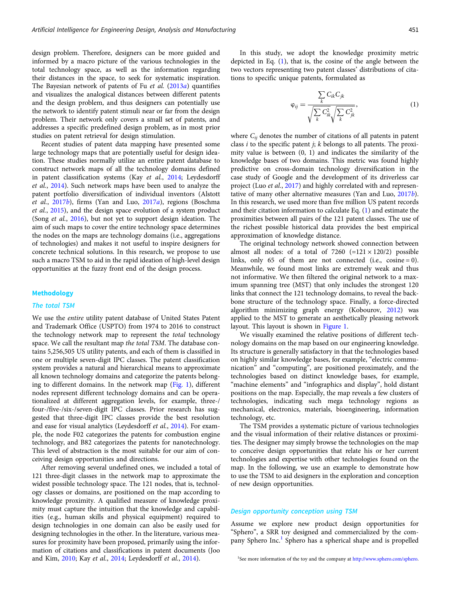design problem. Therefore, designers can be more guided and informed by a macro picture of the various technologies in the total technology space, as well as the information regarding their distances in the space, to seek for systematic inspiration. The Bayesian network of patents of Fu et al. ([2013](#page-11-0)a) quantifies and visualizes the analogical distances between different patents and the design problem, and thus designers can potentially use the network to identify patent stimuli near or far from the design problem. Their network only covers a small set of patents, and addresses a specific predefined design problem, as in most prior studies on patent retrieval for design stimulation.

Recent studies of patent data mapping have presented some large technology maps that are potentially useful for design ideation. These studies normally utilize an entire patent database to construct network maps of all the technology domains defined in patent classification systems (Kay et al., [2014](#page-11-0); Leydesdorff et al., [2014](#page-11-0)). Such network maps have been used to analyze the patent portfolio diversification of individual inventors (Alstott et al., [2017](#page-11-0)b), firms (Yan and Luo, [2017](#page-11-0)a), regions (Boschma et al., [2015\)](#page-11-0), and the design space evolution of a system product (Song et al., [2016\)](#page-11-0), but not yet to support design ideation. The aim of such maps to cover the entire technology space determines the nodes on the maps are technology domains (i.e., aggregations of technologies) and makes it not useful to inspire designers for concrete technical solutions. In this research, we propose to use such a macro TSM to aid in the rapid ideation of high-level design opportunities at the fuzzy front end of the design process.

# Methodology

#### The total TSM

We use the entire utility patent database of United States Patent and Trademark Office (USPTO) from 1974 to 2016 to construct the technology network map to represent the total technology space. We call the resultant map the total TSM. The database contains 5,256,505 US utility patents, and each of them is classified in one or multiple seven-digit IPC classes. The patent classification system provides a natural and hierarchical means to approximate all known technology domains and categorize the patents belonging to different domains. In the network map ([Fig. 1\)](#page-3-0), different nodes represent different technology domains and can be operationalized at different aggregation levels, for example, three-/ four-/five-/six-/seven-digit IPC classes. Prior research has suggested that three-digit IPC classes provide the best resolution and ease for visual analytics (Leydesdorff et al., [2014\)](#page-11-0). For example, the node F02 categorizes the patents for combustion engine technology, and B82 categorizes the patents for nanotechnology. This level of abstraction is the most suitable for our aim of conceiving design opportunities and directions.

After removing several undefined ones, we included a total of 121 three-digit classes in the network map to approximate the widest possible technology space. The 121 nodes, that is, technology classes or domains, are positioned on the map according to knowledge proximity. A qualified measure of knowledge proximity must capture the intuition that the knowledge and capabilities (e.g., human skills and physical equipment) required to design technologies in one domain can also be easily used for designing technologies in the other. In the literature, various measures for proximity have been proposed, primarily using the information of citations and classifications in patent documents (Joo and Kim, [2010](#page-11-0); Kay et al., [2014](#page-11-0); Leydesdorff et al., [2014](#page-11-0)).

In this study, we adopt the knowledge proximity metric depicted in Eq. (1), that is, the cosine of the angle between the two vectors representing two patent classes' distributions of citations to specific unique patents, formulated as

$$
\varphi_{ij} = \frac{\sum_{k} C_{ik} C_{jk}}{\sqrt{\sum_{k} C_{ik}^{2}} \sqrt{\sum_{k} C_{jk}^{2}}},
$$
\n(1)

where  $C_{ii}$  denotes the number of citations of all patents in patent class  $i$  to the specific patent  $j$ ;  $k$  belongs to all patents. The proximity value is between (0, 1) and indicates the similarity of the knowledge bases of two domains. This metric was found highly predictive on cross-domain technology diversification in the case study of Google and the development of its driverless car project (Luo et al., [2017](#page-11-0)) and highly correlated with and representative of many other alternative measures (Yan and Luo, [2017](#page-11-0)b). In this research, we used more than five million US patent records and their citation information to calculate Eq. (1) and estimate the proximities between all pairs of the 121 patent classes. The use of the richest possible historical data provides the best empirical approximation of knowledge distance.

The original technology network showed connection between almost all nodes: of a total of  $7260$  (=121 × 120/2) possible links, only 65 of them are not connected (i.e.,  $cosine = 0$ ). Meanwhile, we found most links are extremely weak and thus not informative. We then filtered the original network to a maximum spanning tree (MST) that only includes the strongest 120 links that connect the 121 technology domains, to reveal the backbone structure of the technology space. Finally, a force-directed algorithm minimizing graph energy (Kobourov, [2012](#page-11-0)) was applied to the MST to generate an aesthetically pleasing network layout. This layout is shown in [Figure 1](#page-3-0).

We visually examined the relative positions of different technology domains on the map based on our engineering knowledge. Its structure is generally satisfactory in that the technologies based on highly similar knowledge bases, for example, "electric communication" and "computing", are positioned proximately, and the technologies based on distinct knowledge bases, for example, "machine elements" and "infographics and display", hold distant positions on the map. Especially, the map reveals a few clusters of technologies, indicating such mega technology regions as mechanical, electronics, materials, bioengineering, information technology, etc.

The TSM provides a systematic picture of various technologies and the visual information of their relative distances or proximities. The designer may simply browse the technologies on the map to conceive design opportunities that relate his or her current technologies and expertise with other technologies found on the map. In the following, we use an example to demonstrate how to use the TSM to aid designers in the exploration and conception of new design opportunities.

#### Design opportunity conception using TSM

Assume we explore new product design opportunities for "Sphero", a SRR toy designed and commercialized by the company Sphero Inc.<sup>1</sup> Sphero has a spherical shape and is propelled

<sup>&</sup>lt;sup>1</sup>See more information of the toy and the company at <http://www.sphero.com/sphero>.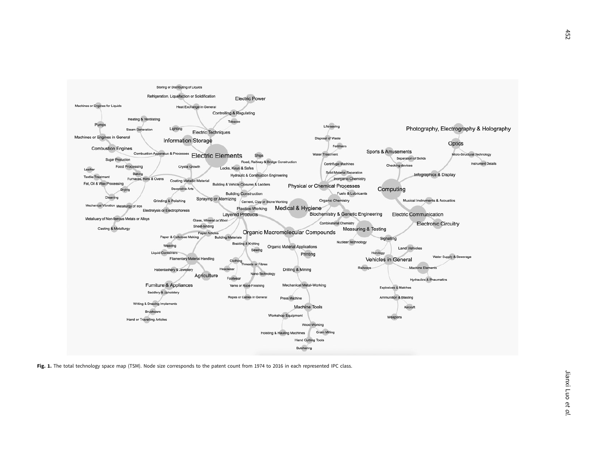<span id="page-3-0"></span>

Fig. 1. The total technology space map (TSM). Node size corresponds to the patent count from 1974 to 2016 in each represented IPC class.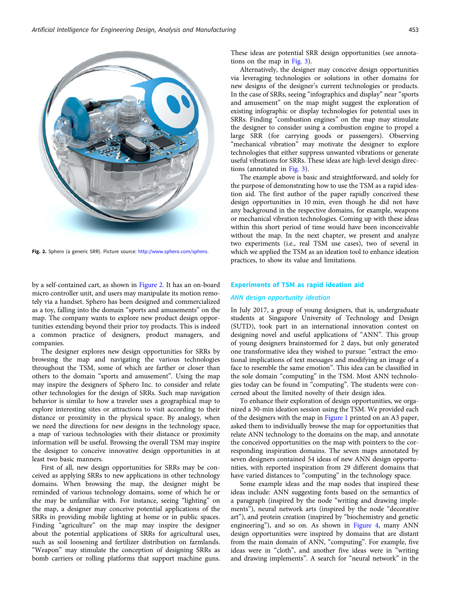

Fig. 2. Sphero (a generic SRR). Picture source: <http://www.sphero.com/sphero>.

by a self-contained cart, as shown in Figure 2. It has an on-board micro controller unit, and users may manipulate its motion remotely via a handset. Sphero has been designed and commercialized as a toy, falling into the domain "sports and amusements" on the map. The company wants to explore new product design opportunities extending beyond their prior toy products. This is indeed a common practice of designers, product managers, and companies.

The designer explores new design opportunities for SRRs by browsing the map and navigating the various technologies throughout the TSM, some of which are farther or closer than others to the domain "sports and amusement". Using the map may inspire the designers of Sphero Inc. to consider and relate other technologies for the design of SRRs. Such map navigation behavior is similar to how a traveler uses a geographical map to explore interesting sites or attractions to visit according to their distance or proximity in the physical space. By analogy, when we need the directions for new designs in the technology space, a map of various technologies with their distance or proximity information will be useful. Browsing the overall TSM may inspire the designer to conceive innovative design opportunities in at least two basic manners.

First of all, new design opportunities for SRRs may be conceived as applying SRRs to new applications in other technology domains. When browsing the map, the designer might be reminded of various technology domains, some of which he or she may be unfamiliar with. For instance, seeing "lighting" on the map, a designer may conceive potential applications of the SRRs in providing mobile lighting at home or in public spaces. Finding "agriculture" on the map may inspire the designer about the potential applications of SRRs for agricultural uses, such as soil loosening and fertilizer distribution on farmlands. "Weapon" may stimulate the conception of designing SRRs as bomb carriers or rolling platforms that support machine guns.

These ideas are potential SRR design opportunities (see annotations on the map in [Fig. 3\)](#page-5-0).

Alternatively, the designer may conceive design opportunities via leveraging technologies or solutions in other domains for new designs of the designer's current technologies or products. In the case of SRRs, seeing "infographics and display" near "sports and amusement" on the map might suggest the exploration of existing infographic or display technologies for potential uses in SRRs. Finding "combustion engines" on the map may stimulate the designer to consider using a combustion engine to propel a large SRR (for carrying goods or passengers). Observing "mechanical vibration" may motivate the designer to explore technologies that either suppress unwanted vibrations or generate useful vibrations for SRRs. These ideas are high-level design directions (annotated in [Fig. 3\)](#page-5-0).

The example above is basic and straightforward, and solely for the purpose of demonstrating how to use the TSM as a rapid ideation aid. The first author of the paper rapidly conceived these design opportunities in 10 min, even though he did not have any background in the respective domains, for example, weapons or mechanical vibration technologies. Coming up with these ideas within this short period of time would have been inconceivable without the map. In the next chapter, we present and analyze two experiments (i.e., real TSM use cases), two of several in which we applied the TSM as an ideation tool to enhance ideation practices, to show its value and limitations.

## Experiments of TSM as rapid ideation aid

# ANN design opportunity ideation

In July 2017, a group of young designers, that is, undergraduate students at Singapore University of Technology and Design (SUTD), took part in an international innovation contest on designing novel and useful applications of "ANN". This group of young designers brainstormed for 2 days, but only generated one transformative idea they wished to pursue: "extract the emotional implications of text messages and modifying an image of a face to resemble the same emotion". This idea can be classified in the sole domain "computing" in the TSM. Most ANN technologies today can be found in "computing". The students were concerned about the limited novelty of their design idea.

To enhance their exploration of design opportunities, we organized a 30-min ideation session using the TSM. We provided each of the designers with the map in [Figure 1](#page-3-0) printed on an A3 paper, asked them to individually browse the map for opportunities that relate ANN technology to the domains on the map, and annotate the conceived opportunities on the map with pointers to the corresponding inspiration domains. The seven maps annotated by seven designers contained 54 ideas of new ANN design opportunities, with reported inspiration from 29 different domains that have varied distances to "computing" in the technology space.

Some example ideas and the map nodes that inspired these ideas include: ANN suggesting fonts based on the semantics of a paragraph (inspired by the node "writing and drawing implements"), neural network arts (inspired by the node "decorative art"), and protein creation (inspired by "biochemistry and genetic engineering"), and so on. As shown in [Figure 4](#page-5-0), many ANN design opportunities were inspired by domains that are distant from the main domain of ANN, "computing". For example, five ideas were in "cloth", and another five ideas were in "writing and drawing implements". A search for "neural network" in the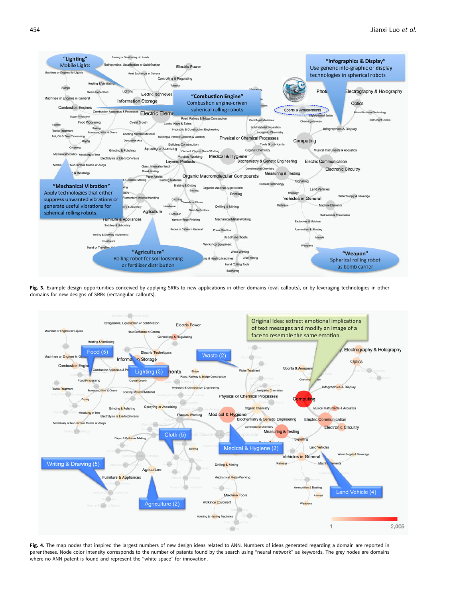<span id="page-5-0"></span>

Fig. 3. Example design opportunities conceived by applying SRRs to new applications in other domains (oval callouts), or by leveraging technologies in other domains for new designs of SRRs (rectangular callouts).



Fig. 4. The map nodes that inspired the largest numbers of new design ideas related to ANN. Numbers of ideas generated regarding a domain are reported in parentheses. Node color intensity corresponds to the number of patents found by the search using "neural network" as keywords. The grey nodes are domains where no ANN patent is found and represent the "white space" for innovation.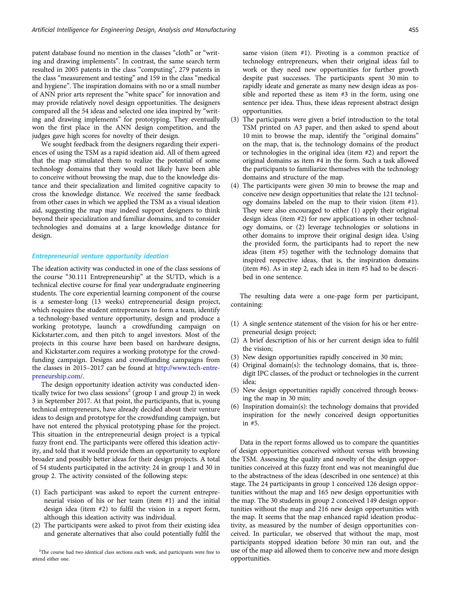patent database found no mention in the classes "cloth" or "writing and drawing implements". In contrast, the same search term resulted in 2005 patents in the class "computing", 279 patents in the class "measurement and testing" and 159 in the class "medical and hygiene". The inspiration domains with no or a small number of ANN prior arts represent the "white space" for innovation and may provide relatively novel design opportunities. The designers compared all the 54 ideas and selected one idea inspired by "writing and drawing implements" for prototyping. They eventually won the first place in the ANN design competition, and the judges gave high scores for novelty of their design.

We sought feedback from the designers regarding their experiences of using the TSM as a rapid ideation aid. All of them agreed that the map stimulated them to realize the potential of some technology domains that they would not likely have been able to conceive without browsing the map, due to the knowledge distance and their specialization and limited cognitive capacity to cross the knowledge distance. We received the same feedback from other cases in which we applied the TSM as a visual ideation aid, suggesting the map may indeed support designers to think beyond their specialization and familiar domains, and to consider technologies and domains at a large knowledge distance for design.

#### Entrepreneurial venture opportunity ideation

The ideation activity was conducted in one of the class sessions of the course "30.111 Entrepreneurship" at the SUTD, which is a technical elective course for final year undergraduate engineering students. The core experiential learning component of the course is a semester-long (13 weeks) entrepreneurial design project, which requires the student entrepreneurs to form a team, identify a technology-based venture opportunity, design and produce a working prototype, launch a crowdfunding campaign on Kickstarter.com, and then pitch to angel investors. Most of the projects in this course have been based on hardware designs, and Kickstarter.com requires a working prototype for the crowdfunding campaign. Designs and crowdfunding campaigns from the classes in 2015–2017 can be found at [http://www.tech-entre](http://www.tech-entrepreneurship.com/)[preneurship.com/.](http://www.tech-entrepreneurship.com/)

The design opportunity ideation activity was conducted identically twice for two class sessions<sup>2</sup> (group 1 and group 2) in week 3 in September 2017. At that point, the participants, that is, young technical entrepreneurs, have already decided about their venture ideas to design and prototype for the crowdfunding campaign, but have not entered the physical prototyping phase for the project. This situation in the entrepreneurial design project is a typical fuzzy front end. The participants were offered this ideation activity, and told that it would provide them an opportunity to explore broader and possibly better ideas for their design projects. A total of 54 students participated in the activity: 24 in group 1 and 30 in group 2. The activity consisted of the following steps:

- (1) Each participant was asked to report the current entrepreneurial vision of his or her team (item #1) and the initial design idea (item #2) to fulfil the vision in a report form, although this ideation activity was individual.
- (2) The participants were asked to pivot from their existing idea and generate alternatives that also could potentially fulfil the

<sup>2</sup>The course had two identical class sections each week, and participants were free to attend either one.

same vision (item #1). Pivoting is a common practice of technology entrepreneurs, when their original ideas fail to work or they need new opportunities for further growth despite past successes. The participants spent 30 min to rapidly ideate and generate as many new design ideas as possible and reported these as item #3 in the form, using one sentence per idea. Thus, these ideas represent abstract design opportunities.

- (3) The participants were given a brief introduction to the total TSM printed on A3 paper, and then asked to spend about 10 min to browse the map, identify the "original domains" on the map, that is, the technology domains of the product or technologies in the original idea (item #2) and report the original domains as item #4 in the form. Such a task allowed the participants to familiarize themselves with the technology domains and structure of the map.
- (4) The participants were given 30 min to browse the map and conceive new design opportunities that relate the 121 technology domains labeled on the map to their vision (item #1). They were also encouraged to either (1) apply their original design ideas (item #2) for new applications in other technology domains, or (2) leverage technologies or solutions in other domains to improve their original design idea. Using the provided form, the participants had to report the new ideas (item #5) together with the technology domains that inspired respective ideas, that is, the inspiration domains (item #6). As in step 2, each idea in item #5 had to be described in one sentence.

The resulting data were a one-page form per participant, containing:

- (1) A single sentence statement of the vision for his or her entrepreneurial design project;
- (2) A brief description of his or her current design idea to fulfil the vision;
- (3) New design opportunities rapidly conceived in 30 min;
- (4) Original domain(s): the technology domains, that is, threedigit IPC classes, of the product or technologies in the current idea;
- (5) New design opportunities rapidly conceived through browsing the map in 30 min;
- (6) Inspiration domain(s): the technology domains that provided inspiration for the newly conceived design opportunities in #5.

Data in the report forms allowed us to compare the quantities of design opportunities conceived without versus with browsing the TSM. Assessing the quality and novelty of the design opportunities conceived at this fuzzy front end was not meaningful due to the abstractness of the ideas (described in one sentence) at this stage. The 24 participants in group 1 conceived 126 design opportunities without the map and 165 new design opportunities with the map. The 30 students in group 2 conceived 149 design opportunities without the map and 216 new design opportunities with the map. It seems that the map enhanced rapid ideation productivity, as measured by the number of design opportunities conceived. In particular, we observed that without the map, most participants stopped ideation before 30 min ran out, and the use of the map aid allowed them to conceive new and more design opportunities.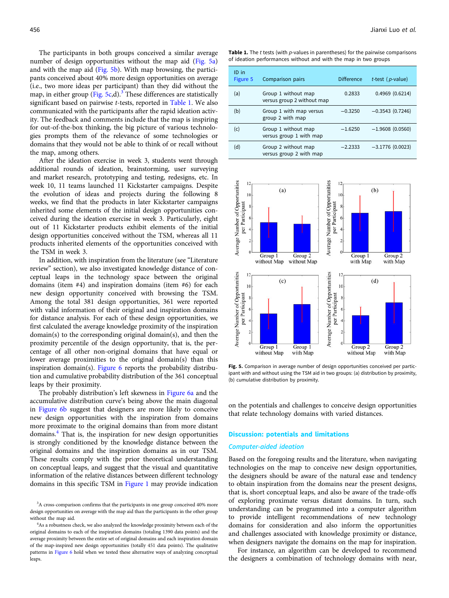The participants in both groups conceived a similar average number of design opportunities without the map aid (Fig. 5a) and with the map aid (Fig. 5b). With map browsing, the participants conceived about 40% more design opportunities on average (i.e., two more ideas per participant) than they did without the map, in either group  $(Fig. 5c,d)<sup>3</sup>$ . These differences are statistically significant based on pairwise t-tests, reported in Table 1. We also communicated with the participants after the rapid ideation activity. The feedback and comments include that the map is inspiring for out-of-the-box thinking, the big picture of various technologies prompts them of the relevance of some technologies or domains that they would not be able to think of or recall without the map, among others.

After the ideation exercise in week 3, students went through additional rounds of ideation, brainstorming, user surveying and market research, prototyping and testing, redesigns, etc. In week 10, 11 teams launched 11 Kickstarter campaigns. Despite the evolution of ideas and projects during the following 8 weeks, we find that the products in later Kickstarter campaigns inherited some elements of the initial design opportunities conceived during the ideation exercise in week 3. Particularly, eight out of 11 Kickstarter products exhibit elements of the initial design opportunities conceived without the TSM, whereas all 11 products inherited elements of the opportunities conceived with the TSM in week 3.

In addition, with inspiration from the literature (see "Literature review" section), we also investigated knowledge distance of conceptual leaps in the technology space between the original domains (item #4) and inspiration domains (item #6) for each new design opportunity conceived with browsing the TSM. Among the total 381 design opportunities, 361 were reported with valid information of their original and inspiration domains for distance analysis. For each of these design opportunities, we first calculated the average knowledge proximity of the inspiration domain(s) to the corresponding original domain(s), and then the proximity percentile of the design opportunity, that is, the percentage of all other non-original domains that have equal or lower average proximities to the original domain(s) than this inspiration domain(s). [Figure 6](#page-8-0) reports the probability distribution and cumulative probability distribution of the 361 conceptual leaps by their proximity.

The probably distribution's left skewness in [Figure 6a](#page-8-0) and the accumulative distribution curve's being above the main diagonal in [Figure 6b](#page-8-0) suggest that designers are more likely to conceive new design opportunities with the inspiration from domains more proximate to the original domains than from more distant domains.<sup>4</sup> That is, the inspiration for new design opportunities is strongly conditioned by the knowledge distance between the original domains and the inspiration domains as in our TSM. These results comply with the prior theoretical understanding on conceptual leaps, and suggest that the visual and quantitative information of the relative distances between different technology domains in this specific TSM in [Figure 1](#page-3-0) may provide indication

| <b>Table 1.</b> The t tests (with p-values in parentheses) for the pairwise comparisons |
|-----------------------------------------------------------------------------------------|
| of ideation performances without and with the map in two groups                         |

| ID in<br>Figure 5 | Comparison pairs                                  | <b>Difference</b> | $t$ -test ( $p$ -value) |
|-------------------|---------------------------------------------------|-------------------|-------------------------|
| (a)               | Group 1 without map<br>versus group 2 without map | 0.2833            | 0.4969(0.6214)          |
| (b)               | Group 1 with map versus<br>group 2 with map       | $-0.3250$         | $-0.3543(0.7246)$       |
| (c)               | Group 1 without map<br>versus group 1 with map    | $-1.6250$         | $-1.9608(0.0560)$       |
| (d)               | Group 2 without map<br>versus group 2 with map    | $-2.2333$         | $-3.1776(0.0023)$       |



Fig. 5. Comparison in average number of design opportunities conceived per participant with and without using the TSM aid in two groups: (a) distribution by proximity, (b) cumulative distribution by proximity.

on the potentials and challenges to conceive design opportunities that relate technology domains with varied distances.

#### Discussion: potentials and limitations

# Computer-aided ideation

Based on the foregoing results and the literature, when navigating technologies on the map to conceive new design opportunities, the designers should be aware of the natural ease and tendency to obtain inspiration from the domains near the present designs, that is, short conceptual leaps, and also be aware of the trade-offs of exploring proximate versus distant domains. In turn, such understanding can be programmed into a computer algorithm to provide intelligent recommendations of new technology domains for consideration and also inform the opportunities and challenges associated with knowledge proximity or distance, when designers navigate the domains on the map for inspiration.

For instance, an algorithm can be developed to recommend the designers a combination of technology domains with near,

<sup>&</sup>lt;sup>3</sup>A cross-comparison confirms that the participants in one group conceived 40% more design opportunities on average with the map aid than the participants in the other group without the map aid.

<sup>&</sup>lt;sup>4</sup>As a robustness check, we also analyzed the knowledge proximity between each of the original domains to each of the inspiration domains (totaling 1390 data points) and the average proximity between the entire set of original domains and each inspiration domain of the map-inspired new design opportunities (totally 451 data points). The qualitative patterns in [Figure 6](#page-8-0) hold when we tested these alternative ways of analyzing conceptual leaps.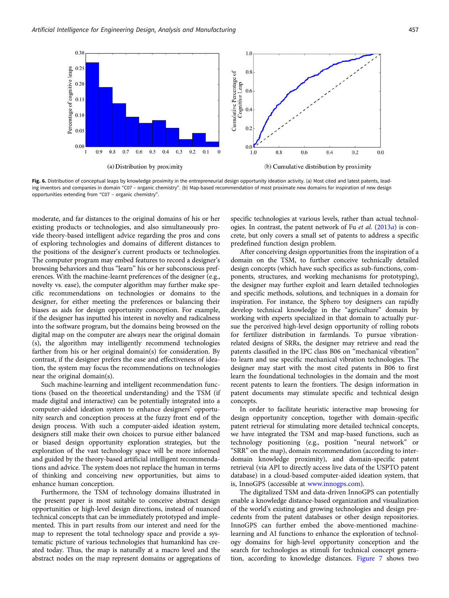<span id="page-8-0"></span>

Fig. 6. Distribution of conceptual leaps by knowledge proximity in the entrepreneurial design opportunity ideation activity. (a) Most cited and latest patents, leading inventors and companies in domain "C07 – organic chemistry". (b) Map-based recommendation of most proximate new domains for inspiration of new design opportunities extending from "C07 – organic chemistry".

moderate, and far distances to the original domains of his or her existing products or technologies, and also simultaneously provide theory-based intelligent advice regarding the pros and cons of exploring technologies and domains of different distances to the positions of the designer's current products or technologies. The computer program may embed features to record a designer's browsing behaviors and thus "learn" his or her subconscious preferences. With the machine-learnt preferences of the designer (e.g., novelty vs. ease), the computer algorithm may further make specific recommendations on technologies or domains to the designer, for either meeting the preferences or balancing their biases as aids for design opportunity conception. For example, if the designer has inputted his interest in novelty and radicalness into the software program, but the domains being browsed on the digital map on the computer are always near the original domain (s), the algorithm may intelligently recommend technologies farther from his or her original domain(s) for consideration. By contrast, if the designer prefers the ease and effectiveness of ideation, the system may focus the recommendations on technologies near the original domain(s).

Such machine-learning and intelligent recommendation functions (based on the theoretical understanding) and the TSM (if made digital and interactive) can be potentially integrated into a computer-aided ideation system to enhance designers' opportunity search and conception process at the fuzzy front end of the design process. With such a computer-aided ideation system, designers still make their own choices to pursue either balanced or biased design opportunity exploration strategies, but the exploration of the vast technology space will be more informed and guided by the theory-based artificial intelligent recommendations and advice. The system does not replace the human in terms of thinking and conceiving new opportunities, but aims to enhance human conception.

Furthermore, the TSM of technology domains illustrated in the present paper is most suitable to conceive abstract design opportunities or high-level design directions, instead of nuanced technical concepts that can be immediately prototyped and implemented. This in part results from our interest and need for the map to represent the total technology space and provide a systematic picture of various technologies that humankind has created today. Thus, the map is naturally at a macro level and the abstract nodes on the map represent domains or aggregations of

specific technologies at various levels, rather than actual technologies. In contrast, the patent network of Fu et al.  $(2013a)$  $(2013a)$  is concrete, but only covers a small set of patents to address a specific predefined function design problem.

After conceiving design opportunities from the inspiration of a domain on the TSM, to further conceive technically detailed design concepts (which have such specifics as sub-functions, components, structures, and working mechanisms for prototyping), the designer may further exploit and learn detailed technologies and specific methods, solutions, and techniques in a domain for inspiration. For instance, the Sphero toy designers can rapidly develop technical knowledge in the "agriculture" domain by working with experts specialized in that domain to actually pursue the perceived high-level design opportunity of rolling robots for fertilizer distribution in farmlands. To pursue vibrationrelated designs of SRRs, the designer may retrieve and read the patents classified in the IPC class B06 on "mechanical vibration" to learn and use specific mechanical vibration technologies. The designer may start with the most cited patents in B06 to first learn the foundational technologies in the domain and the most recent patents to learn the frontiers. The design information in patent documents may stimulate specific and technical design concepts.

In order to facilitate heuristic interactive map browsing for design opportunity conception, together with domain-specific patent retrieval for stimulating more detailed technical concepts, we have integrated the TSM and map-based functions, such as technology positioning (e.g., position "neural network" or "SRR" on the map), domain recommendation (according to interdomain knowledge proximity), and domain-specific patent retrieval (via API to directly access live data of the USPTO patent database) in a cloud-based computer-aided ideation system, that is, InnoGPS (accessible at [www.innogps.com](http://www.innogps.com)).

The digitalized TSM and data-driven InnoGPS can potentially enable a knowledge distance-based organization and visualization of the world's existing and growing technologies and design precedents from the patent databases or other design repositories. InnoGPS can further embed the above-mentioned machinelearning and AI functions to enhance the exploration of technology domains for high-level opportunity conception and the search for technologies as stimuli for technical concept generation, according to knowledge distances. [Figure 7](#page-9-0) shows two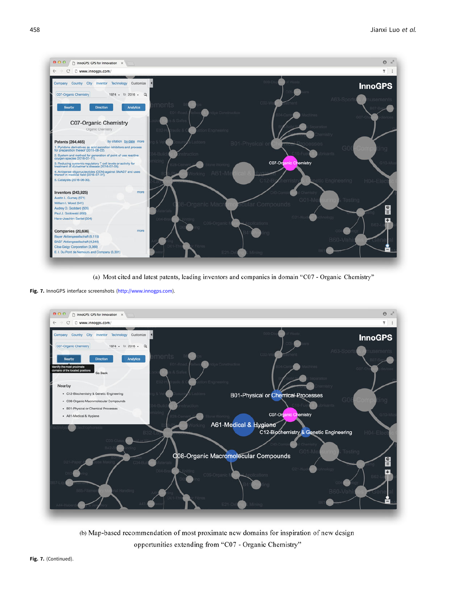<span id="page-9-0"></span>

(a) Most cited and latest patents, leading inventors and companies in domain "C07 - Organic Chemistry"

Fig. 7. InnoGPS interface screenshots [\(http://](http://)[www.innogps.com\)](http://www.innogps.com).



(b) Map-based recommendation of most proximate new domains for inspiration of new design opportunities extending from "C07 - Organic Chemistry"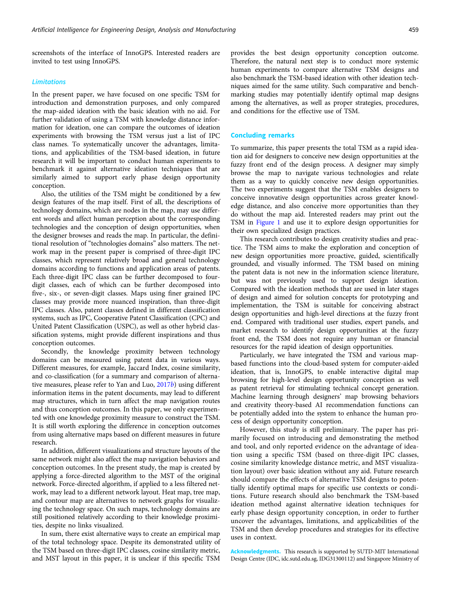screenshots of the interface of InnoGPS. Interested readers are invited to test using InnoGPS.

#### **Limitations**

In the present paper, we have focused on one specific TSM for introduction and demonstration purposes, and only compared the map-aided ideation with the basic ideation with no aid. For further validation of using a TSM with knowledge distance information for ideation, one can compare the outcomes of ideation experiments with browsing the TSM versus just a list of IPC class names. To systematically uncover the advantages, limitations, and applicabilities of the TSM-based ideation, in future research it will be important to conduct human experiments to benchmark it against alternative ideation techniques that are similarly aimed to support early phase design opportunity conception.

Also, the utilities of the TSM might be conditioned by a few design features of the map itself. First of all, the descriptions of technology domains, which are nodes in the map, may use different words and affect human perception about the corresponding technologies and the conception of design opportunities, when the designer browses and reads the map. In particular, the definitional resolution of "technologies domains" also matters. The network map in the present paper is comprised of three-digit IPC classes, which represent relatively broad and general technology domains according to functions and application areas of patents. Each three-digit IPC class can be further decomposed to fourdigit classes, each of which can be further decomposed into five-, six-, or seven-digit classes. Maps using finer grained IPC classes may provide more nuanced inspiration, than three-digit IPC classes. Also, patent classes defined in different classification systems, such as IPC, Cooperative Patent Classification (CPC) and United Patent Classification (USPC), as well as other hybrid classification systems, might provide different inspirations and thus conception outcomes.

Secondly, the knowledge proximity between technology domains can be measured using patent data in various ways. Different measures, for example, Jaccard Index, cosine similarity, and co-classification (for a summary and comparison of alternative measures, please refer to Yan and Luo, [2017](#page-11-0)b) using different information items in the patent documents, may lead to different map structures, which in turn affect the map navigation routes and thus conception outcomes. In this paper, we only experimented with one knowledge proximity measure to construct the TSM. It is still worth exploring the difference in conception outcomes from using alternative maps based on different measures in future research.

In addition, different visualizations and structure layouts of the same network might also affect the map navigation behaviors and conception outcomes. In the present study, the map is created by applying a force-directed algorithm to the MST of the original network. Force-directed algorithm, if applied to a less filtered network, may lead to a different network layout. Heat map, tree map, and contour map are alternatives to network graphs for visualizing the technology space. On such maps, technology domains are still positioned relatively according to their knowledge proximities, despite no links visualized.

In sum, there exist alternative ways to create an empirical map of the total technology space. Despite its demonstrated utility of the TSM based on three-digit IPC classes, cosine similarity metric, and MST layout in this paper, it is unclear if this specific TSM

provides the best design opportunity conception outcome. Therefore, the natural next step is to conduct more systemic human experiments to compare alternative TSM designs and also benchmark the TSM-based ideation with other ideation techniques aimed for the same utility. Such comparative and benchmarking studies may potentially identify optimal map designs among the alternatives, as well as proper strategies, procedures, and conditions for the effective use of TSM.

## Concluding remarks

To summarize, this paper presents the total TSM as a rapid ideation aid for designers to conceive new design opportunities at the fuzzy front end of the design process. A designer may simply browse the map to navigate various technologies and relate them as a way to quickly conceive new design opportunities. The two experiments suggest that the TSM enables designers to conceive innovative design opportunities across greater knowledge distance, and also conceive more opportunities than they do without the map aid. Interested readers may print out the TSM in [Figure 1](#page-3-0) and use it to explore design opportunities for their own specialized design practices.

This research contributes to design creativity studies and practice. The TSM aims to make the exploration and conception of new design opportunities more proactive, guided, scientifically grounded, and visually informed. The TSM based on mining the patent data is not new in the information science literature, but was not previously used to support design ideation. Compared with the ideation methods that are used in later stages of design and aimed for solution concepts for prototyping and implementation, the TSM is suitable for conceiving abstract design opportunities and high-level directions at the fuzzy front end. Compared with traditional user studies, expert panels, and market research to identify design opportunities at the fuzzy front end, the TSM does not require any human or financial resources for the rapid ideation of design opportunities.

Particularly, we have integrated the TSM and various mapbased functions into the cloud-based system for computer-aided ideation, that is, InnoGPS, to enable interactive digital map browsing for high-level design opportunity conception as well as patent retrieval for stimulating technical concept generation. Machine learning through designers' map browsing behaviors and creativity theory-based AI recommendation functions can be potentially added into the system to enhance the human process of design opportunity conception.

However, this study is still preliminary. The paper has primarily focused on introducing and demonstrating the method and tool, and only reported evidence on the advantage of ideation using a specific TSM (based on three-digit IPC classes, cosine similarity knowledge distance metric, and MST visualization layout) over basic ideation without any aid. Future research should compare the effects of alternative TSM designs to potentially identify optimal maps for specific use contexts or conditions. Future research should also benchmark the TSM-based ideation method against alternative ideation techniques for early phase design opportunity conception, in order to further uncover the advantages, limitations, and applicabilities of the TSM and then develop procedures and strategies for its effective uses in context.

Acknowledgments. This research is supported by SUTD-MIT International Design Centre (IDC, idc.sutd.edu.sg, IDG31300112) and Singapore Ministry of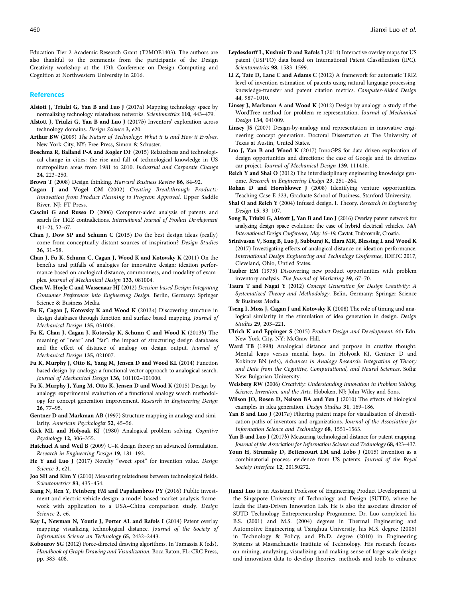<span id="page-11-0"></span>Education Tier 2 Academic Research Grant (T2MOE1403). The authors are also thankful to the comments from the participants of the Design Creativity workshop at the 17th Conference on Design Computing and Cognition at Northwestern University in 2016.

#### References

- Alstott J, Triulzi G, Yan B and Luo J (2017a) Mapping technology space by normalizing technology relatedness networks. Scientometrics 110, 443–479.
- Alstott J, Triulzi G, Yan B and Luo J (2017b) Inventors' exploration across technology domains. Design Science 3, e20.
- Arthur BW (2009) The Nature of Technology: What it is and How it Evolves. New York City, NY: Free Press, Simon & Schuster.
- Boschma R, Balland P-A and Kogler DF (2015) Relatedness and technological change in cities: the rise and fall of technological knowledge in US metropolitan areas from 1981 to 2010. Industrial and Corporate Change 24, 223–250.
- Brown T (2008) Design thinking. Harvard Business Review 86, 84–92.
- Cagan J and Vogel CM (2002) Creating Breakthrough Products: Innovation from Product Planning to Program Approval. Upper Saddle River, NJ: FT Press.
- Cascini G and Russo D (2006) Computer-aided analysis of patents and search for TRIZ contradictions. International Journal of Product Development  $4(1-2), 52-67.$
- Chan J, Dow SP and Schunn C (2015) Do the best design ideas (really) come from conceptually distant sources of inspiration? Design Studies 36, 31–58.
- Chan J, Fu K, Schunn C, Cagan J, Wood K and Kotovsky K (2011) On the benefits and pitfalls of analogies for innovative design: ideation performance based on analogical distance, commonness, and modality of examples. Journal of Mechanical Design 133, 081004.
- Chen W, Hoyle C and Wassenaar HJ (2012) Decision-based Design: Integrating Consumer Preferences into Engineering Design. Berlin, Germany: Springer Science & Business Media.
- Fu K, Cagan J, Kotovsky K and Wood K (2013a) Discovering structure in design databases through function and surface based mapping. Journal of Mechanical Design 135, 031006.
- Fu K, Chan J, Cagan J, Kotovsky K, Schunn C and Wood K (2013b) The meaning of "near" and "far": the impact of structuring design databases and the effect of distance of analogy on design output. Journal of Mechanical Design 135, 021007.
- Fu K, Murphy J, Otto K, Yang M, Jensen D and Wood KL (2014) Function based design-by-analogy: a functional vector approach to analogical search. Journal of Mechanical Design 136, 101102–101000.
- Fu K, Murphy J, Yang M, Otto K, Jensen D and Wood K (2015) Design-byanalogy: experimental evaluation of a functional analogy search methodology for concept generation improvement. Research in Engineering Design 26, 77–95.
- Gentner D and Markman AB (1997) Structure mapping in analogy and similarity. American Psychologist 52, 45–56.
- Gick ML and Holyoak KJ (1980) Analogical problem solving. Cognitive Psychology 12, 306–355.
- Hatchuel A and Weil B (2009) C–K design theory: an advanced formulation. Research in Engineering Design 19, 181–192.
- He Y and Luo J (2017) Novelty "sweet spot" for invention value. Design Science 3, e21.
- Joo SH and Kim Y (2010) Measuring relatedness between technological fields. Scientometrics 83, 435–454.
- Kang N, Ren Y, Feinberg FM and Papalambros PY (2016) Public investment and electric vehicle design: a model-based market analysis framework with application to a USA–China comparison study. Design Science 2, e6.
- Kay L, Newman N, Youtie J, Porter AL and Rafols I (2014) Patent overlay mapping: visualizing technological distance. Journal of the Society of Information Science an Technology 65, 2432–2443.
- Kobourov SG (2012) Force-directed drawing algorithms. In Tamassia R (eds), Handbook of Graph Drawing and Visualization. Boca Raton, FL: CRC Press, pp. 383–408.
- Leydesdorff L, Kushnir D and Rafols I (2014) Interactive overlay maps for US patent (USPTO) data based on International Patent Classification (IPC). Scientometrics 98, 1583–1599.
- Li Z, Tate D, Lane C and Adams C (2012) A framework for automatic TRIZ level of invention estimation of patents using natural language processing, knowledge-transfer and patent citation metrics. Computer-Aided Design 44, 987–1010.
- Linsey J, Markman A and Wood K (2012) Design by analogy: a study of the WordTree method for problem re-representation. Journal of Mechanical Design 134, 041009.
- Linsey JS (2007) Design-by-analogy and representation in innovative engineering concept generation. Doctoral Dissertation at The University of Texas at Austin, United States.
- Luo J, Yan B and Wood K (2017) InnoGPS for data-driven exploration of design opportunities and directions: the case of Google and its driverless car project. Journal of Mechanical Design 139, 111416.
- Reich Y and Shai O (2012) The interdisciplinary engineering knowledge genome. Research in Engineering Design 23, 251–264.
- Rohan D and Hornblower J (2008) Identifying venture opportunities. Teaching Case E-323, Graduate School of Business, Stanford University.
- Shai O and Reich Y (2004) Infused design. I. Theory. Research in Engineering Design 15, 93–107.
- Song B, Triulzi G, Alstott J, Yan B and Luo J (2016) Overlay patent network for analyzing design space evolution: the case of hybrid electrical vehicles. 14th International Design Conference, May 16–19, Cavtat, Dubrovnik, Croatia.
- Srinivasan V, Song B, Luo J, Subburaj K, Elara MR, Blessing L and Wood K (2017) Investigating effects of analogical distance on ideation performance. International Design Engineering and Technology Conference, IDETC 2017, Cleveland, Ohio, Untied States.
- Tauber EM (1975) Discovering new product opportunities with problem inventory analysis. The Journal of Marketing 39, 67–70.
- Taura T and Nagai Y (2012) Concept Generation for Design Creativity: A Systematized Theory and Methodology. Belin, Germany: Springer Science & Business Media.
- Tseng I, Moss J, Cagan J and Kotovsky K (2008) The role of timing and analogical similarity in the stimulation of idea generation in design. Design Studies 29, 203–221.
- Ulrich K and Eppinger S (2015) Product Design and Development, 6th Edn. New York City, NY: McGraw-Hill.
- Ward TB (1998) Analogical distance and purpose in creative thought: Mental leaps versus mental hops. In Holyoak KJ, Gentner D and Kokinov BN (eds), Advances in Analogy Research: Integration of Theory and Data from the Cognitive, Computational, and Neural Sciences. Sofia: New Bulgarian University.
- Weisberg RW (2006) Creativity: Understanding Innovation in Problem Solving, Science, Invention, and the Arts. Hoboken, NJ: John Wiley and Sons.
- Wilson JO, Rosen D, Nelson BA and Yen J (2010) The effects of biological examples in idea generation. Design Studies 31, 169–186.
- Yan B and Luo J (2017a) Filtering patent maps for visualization of diversification paths of inventors and organizations. Journal of the Association for Information Science and Technology 68, 1551–1563.
- Yan B and Luo J (2017b) Measuring technological distance for patent mapping. Journal of the Association for Information Science and Technology 68, 423–437.
- Youn H, Strumsky D, Bettencourt LM and Lobo J (2015) Invention as a combinatorial process: evidence from US patents. Journal of the Royal Society Interface 12, 20150272.

Jianxi Luo is an Assistant Professor of Engineering Product Development at the Singapore University of Technology and Design (SUTD), where he leads the Data-Driven Innovation Lab. He is also the associate director of SUTD Technology Entrepreneurship Programme. Dr. Luo completed his B.S. (2001) and M.S. (2004) degrees in Thermal Engineering and Automotive Engineering at Tsinghua University, his M.S. degree (2006) in Technology & Policy, and Ph.D. degree (2010) in Engineering Systems at Massachusetts Institute of Technology. His research focuses on mining, analyzing, visualizing and making sense of large scale design and innovation data to develop theories, methods and tools to enhance